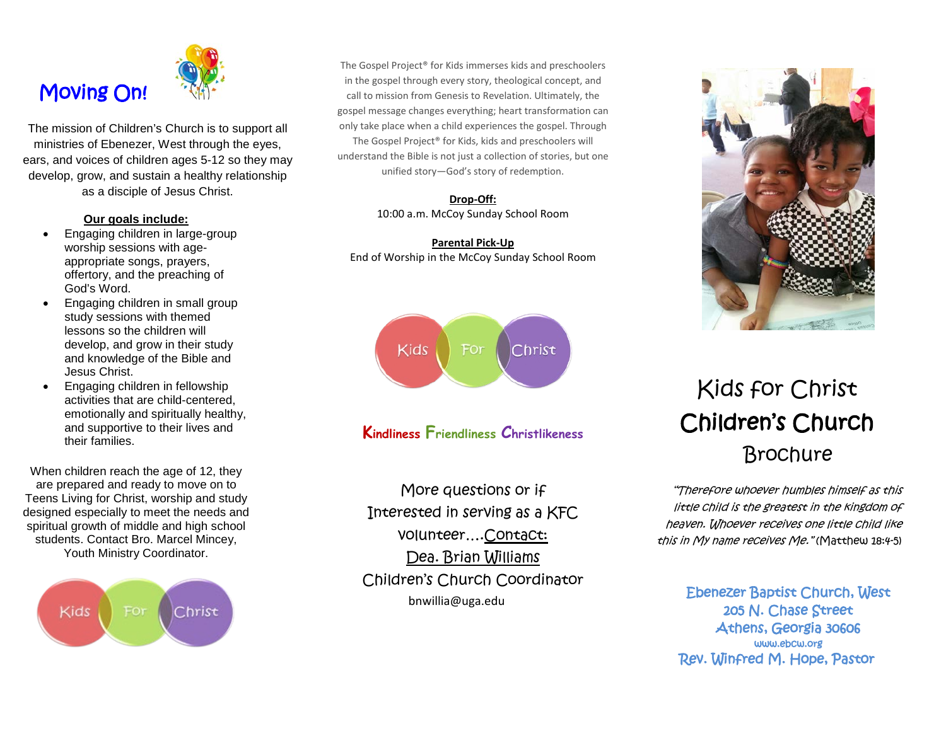# Moving On!



The mission of Children's Church is to support all ministries of Ebenezer, West through the eyes, ears, and voices of children ages 5-12 so they may develop, grow, and sustain a healthy relationship as a disciple of Jesus Christ.

#### **Our goals include:**

- Engaging children in large-group worship sessions with ageappropriate songs, prayers, offertory, and the preaching of God's Word.
- Engaging children in small group study sessions with themed lessons so the children will develop, and grow in their study and knowledge of the Bible and Jesus Christ.
- Engaging children in fellowship activities that are child-centered, emotionally and spiritually healthy, and supportive to their lives and their families.

When children reach the age of 12, they are prepared and ready to move on to Teens Living for Christ, worship and study designed especially to meet the needs and spiritual growth of middle and high school students. Contact Bro. Marcel Mincey, Youth Ministry Coordinator.



The Gospel Project® for Kids immerses kids and preschoolers in the gospel through every story, theological concept, and call to mission from Genesis to Revelation. Ultimately, the gospel message changes everything; heart transformation can only take place when a child experiences the gospel. Through The Gospel Project® for Kids, kids and preschoolers will understand the Bible is not just a collection of stories, but one unified story—God's story of redemption.

#### **Drop-Off:** 10:00 a.m. McCoy Sunday School Room

**Parental Pick-Up** End of Worship in the McCoy Sunday School Room



# **Kindliness Friendliness Christlikeness**

More questions or if Interested in serving as a KFC volunteer….Contact: Dea. Brian Williams Children's Church Coordinator bnwillia@uga.edu



# Kids for Christ Children's Church **Brochure**

"Therefore whoever humbles himself as this little child is the greatest in the kingdom of heaven. Whoever receives one little child like this in My name receives Me." (Matthew 18:4-5)

Ebenezer Baptist Church, West 205 N. Chase Street Athens, Georgia 30606 www.ebcw.org Rev. Winfred M. Hope, Pastor